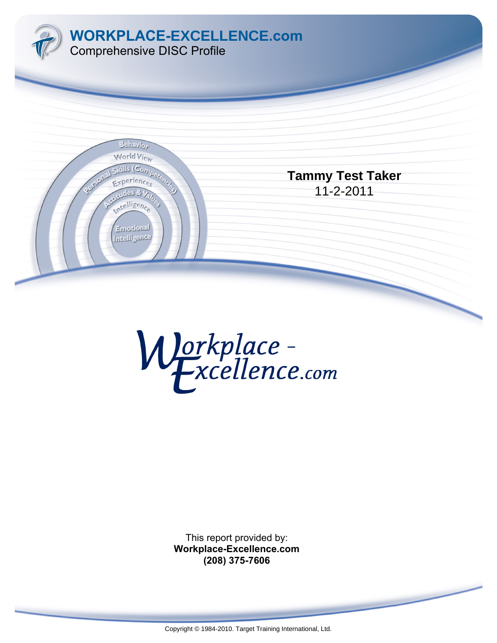



This report provided by: **Workplace-Excellence.com (208) 375-7606**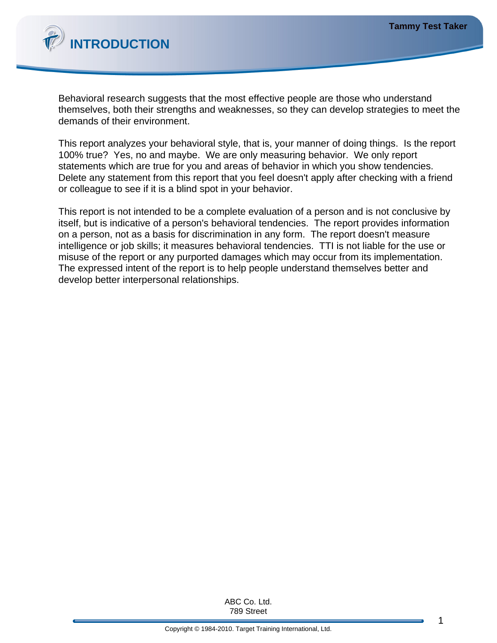

Behavioral research suggests that the most effective people are those who understand themselves, both their strengths and weaknesses, so they can develop strategies to meet the demands of their environment.

This report analyzes your behavioral style, that is, your manner of doing things. Is the report 100% true? Yes, no and maybe. We are only measuring behavior. We only report statements which are true for you and areas of behavior in which you show tendencies. Delete any statement from this report that you feel doesn't apply after checking with a friend or colleague to see if it is a blind spot in your behavior.

This report is not intended to be a complete evaluation of a person and is not conclusive by itself, but is indicative of a person's behavioral tendencies. The report provides information on a person, not as a basis for discrimination in any form. The report doesn't measure intelligence or job skills; it measures behavioral tendencies. TTI is not liable for the use or misuse of the report or any purported damages which may occur from its implementation. The expressed intent of the report is to help people understand themselves better and develop better interpersonal relationships.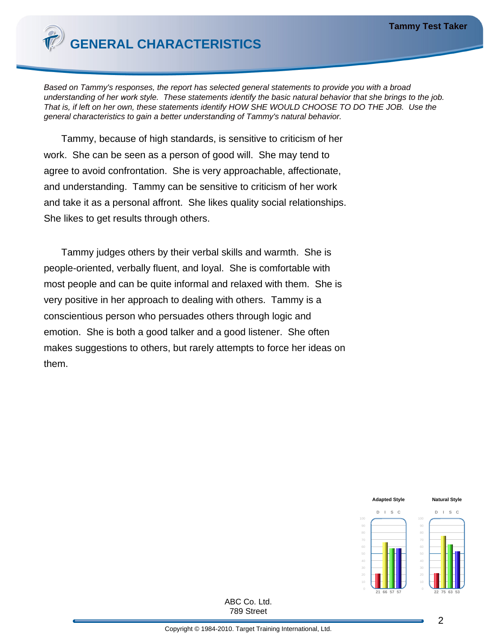

Based on Tammy's responses, the report has selected general statements to provide you with a broad understanding of her *work* style. These statements identify the basic natural behavior that she brings to the job. That is, if left on her own, these statements identify HOW SHE WOULD CHOOSE TO DO THE JOB. Use the general characteristics to gain a better understanding of Tammy's natural behavior.

Tammy, because of high standards, is sensitive to criticism of her work. She can be seen as a person of good will. She may tend to agree to avoid confrontation. She is very approachable, affectionate, and understanding. Tammy can be sensitive to criticism of her work and take it as a personal affront. She likes quality social relationships. She likes to get results through others.

Tammy judges others by their verbal skills and warmth. She is people-oriented, verbally fluent, and loyal. She is comfortable with most people and can be quite informal and relaxed with them. She is very positive in her approach to dealing with others. Tammy is a conscientious person who persuades others through logic and emotion. She is both a good talker and a good listener. She often makes suggestions to others, but rarely attempts to force her ideas on them.

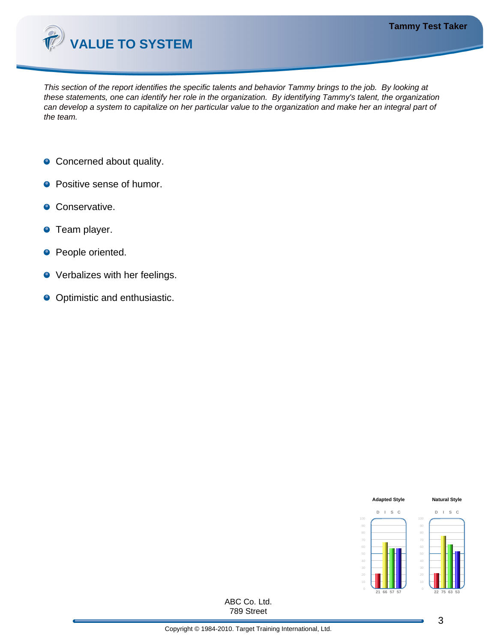

This section of the report identifies the specific talents and behavior Tammy brings to the job. By looking at these statements, one can identify her role in the organization. By identifying Tammy's talent, the organization can develop a system to capitalize on her particular value to the organization and make her an integral part of the team.

- Concerned about quality.
- **Positive sense of humor.**
- **•** Conservative.
- **O** Team player.
- **People oriented.**
- **•** Verbalizes with her feelings.
- Optimistic and enthusiastic.

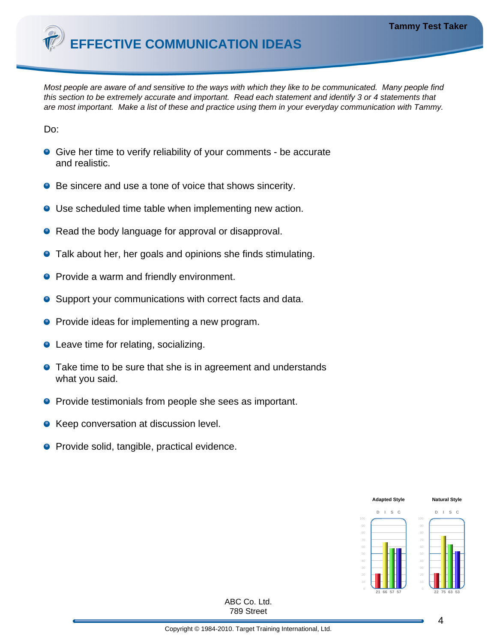**EFFECTIVE COMMUNICATION IDEAS**

Most people are aware of and sensitive to the ways with which they like to be communicated. Many people find this section to be extremely accurate and important. Read each statement and identify 3 or 4 statements that are most important. Make a list of these and practice using them in your everyday communication with Tammy.

Do:

- Give her time to verify reliability of your comments be accurate and realistic.
- Be sincere and use a tone of voice that shows sincerity.
- Use scheduled time table when implementing new action.
- Read the body language for approval or disapproval.
- **•** Talk about her, her goals and opinions she finds stimulating.
- **•** Provide a warm and friendly environment.
- Support your communications with correct facts and data.  $\bullet$
- **•** Provide ideas for implementing a new program.
- Leave time for relating, socializing.
- **•** Take time to be sure that she is in agreement and understands what you said.
- **•** Provide testimonials from people she sees as important.
- **Keep conversation at discussion level.**
- **•** Provide solid, tangible, practical evidence.

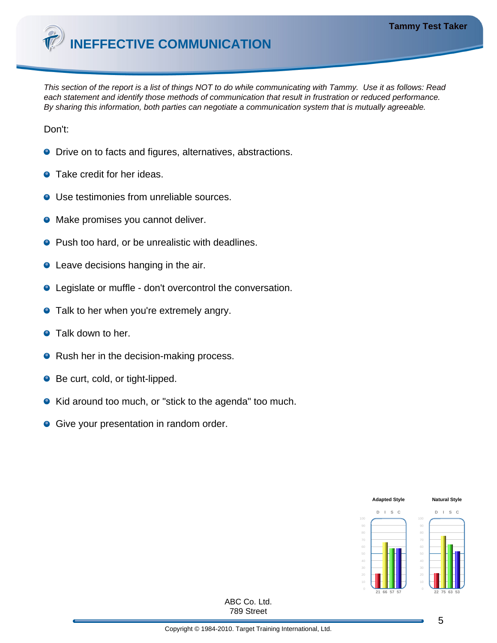

This section of the report is a list of things NOT to do while communicating with Tammy. Use it as follows: Read each statement and identify those methods of communication that result in frustration or reduced performance. By sharing this information, both parties can negotiate a communication system that is mutually agreeable.

Don't:

- **O** Drive on to facts and figures, alternatives, abstractions.
- **•** Take credit for her ideas.
- Use testimonies from unreliable sources.
- **•** Make promises you cannot deliver.
- Push too hard, or be unrealistic with deadlines.
- Leave decisions hanging in the air.
- Legislate or muffle don't overcontrol the conversation.
- **•** Talk to her when you're extremely angry.
- **•** Talk down to her.
- Rush her in the decision-making process.
- Be curt, cold, or tight-lipped.
- Kid around too much, or "stick to the agenda" too much.
- **Give your presentation in random order.**

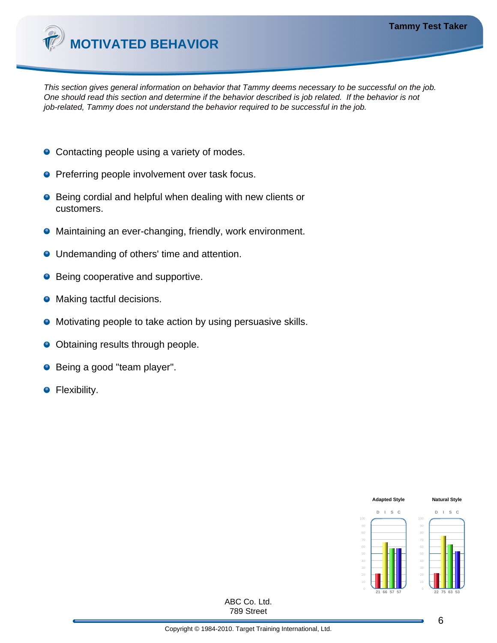

This section gives general information on behavior that Tammy deems necessary to be successful on the job. One should read this section and determine if the behavior described is job related. If the behavior is not job-related, Tammy does not understand the behavior required to be successful in the job.

- Contacting people using a variety of modes.
- **•** Preferring people involvement over task focus.
- Being cordial and helpful when dealing with new clients or customers.
- Maintaining an ever-changing, friendly, work environment.
- **Undemanding of others' time and attention.**
- **•** Being cooperative and supportive.
- Making tactful decisions.
- **•** Motivating people to take action by using persuasive skills.
- Obtaining results through people.
- Being a good "team player".
- **•** Flexibility.

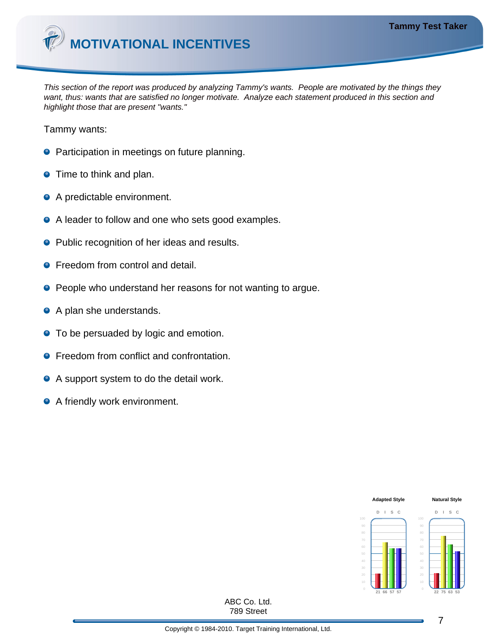

This section of the report was produced by analyzing Tammy's wants. People are motivated by the things they want, thus: wants that are satisfied no longer motivate. Analyze each statement produced in this section and highlight those that are present "wants."

Tammy wants:

- **•** Participation in meetings on future planning.
- **•** Time to think and plan.
- A predictable environment.
- A leader to follow and one who sets good examples.
- **•** Public recognition of her ideas and results.
- **•** Freedom from control and detail.
- **People who understand her reasons for not wanting to argue.**
- A plan she understands.
- **•** To be persuaded by logic and emotion.
- **•** Freedom from conflict and confrontation.
- A support system to do the detail work.
- A friendly work environment.

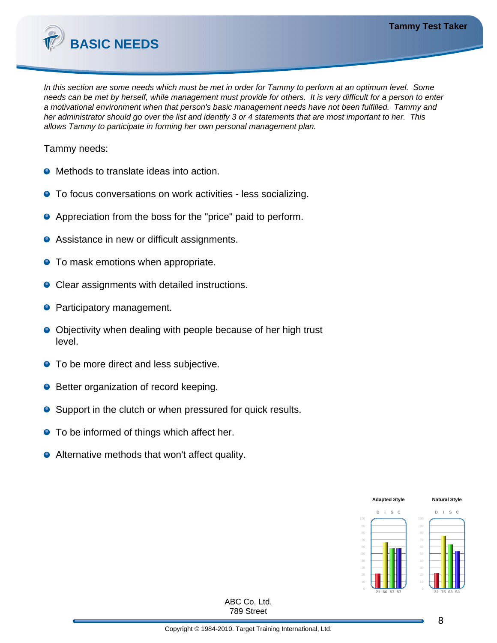

In this section are some needs which must be met in order for Tammy to perform at an optimum level. Some needs can be met by herself, while management must provide for others. It is very difficult for a person to enter a motivational environment when that person's basic management needs have not been fulfilled. Tammy and her administrator should go over the list and identify 3 or 4 statements that are most important to her. This allows Tammy to participate in forming her own personal management plan.

Tammy needs:

- **O** Methods to translate ideas into action.
- **•** To focus conversations on work activities less socializing.
- Appreciation from the boss for the "price" paid to perform.
- Assistance in new or difficult assignments.
- **•** To mask emotions when appropriate.
- Clear assignments with detailed instructions.
- **Participatory management.**
- Objectivity when dealing with people because of her high trust level.
- **•** To be more direct and less subjective.
- **Better organization of record keeping.**
- Support in the clutch or when pressured for quick results.
- To be informed of things which affect her.
- Alternative methods that won't affect quality.

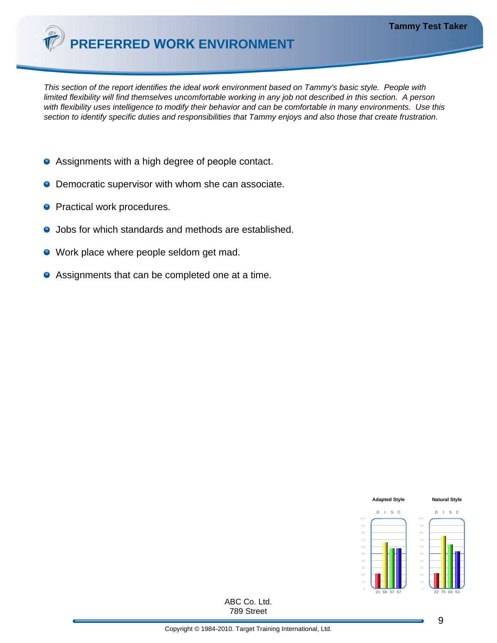

This section of the report identifies the ideal work environment based on Tammy's basic style. People with limited flexibility will find themselves uncomfortable working in any job not described in this section. A person with flexibility uses intelligence to modify their behavior and can be comfortable in many environments. Use this section to identify specific duties and responsibilities that Tammy enjoys and also those that create frustration.

- Assignments with a high degree of people contact.
- **O** Democratic supervisor with whom she can associate.
- **Practical work procedures.**
- Jobs for which standards and methods are established.  $\bullet$
- Work place where people seldom get mad.
- Assignments that can be completed one at a time.

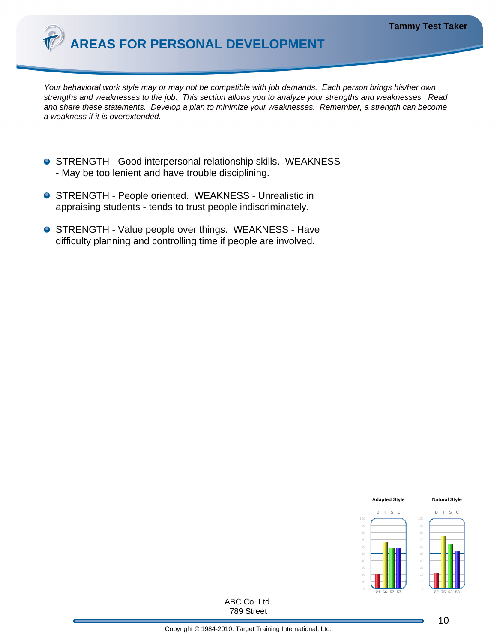

Your behavioral work style may or may not be compatible with job demands. Each *person* brings his/her own strengths and weaknesses to the job. This section allows you to analyze your strengths and weaknesses. Read and share these statements. Develop a plan to minimize your weaknesses. Remember, a strength can become a weakness if it is overextended.

- **O** STRENGTH Good interpersonal relationship skills. WEAKNESS - May be too lenient and have trouble disciplining.
- **O** STRENGTH People oriented. WEAKNESS Unrealistic in appraising students - tends to trust people indiscriminately.
- **O** STRENGTH Value people over things. WEAKNESS Have difficulty planning and controlling time if people are involved.

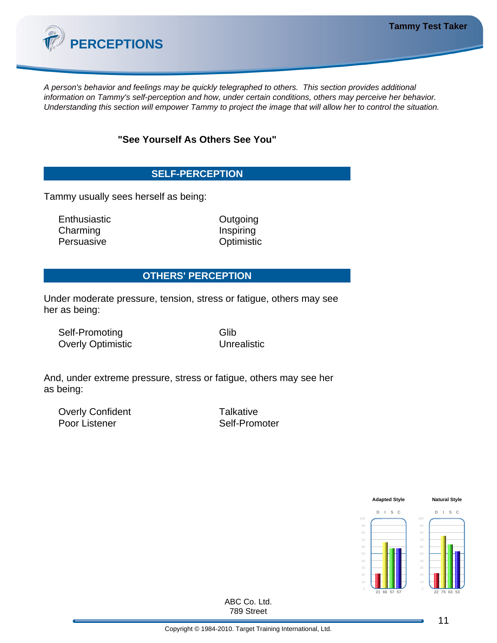

A person's behavior and feelings may be quickly telegraphed to others. This section provides additional information on Tammy's self-perception and how, under certain conditions, others may perceive her behavior. Understanding this section will empower Tammy to project the image that will allow her to control the situation.

**"See Yourself As Others See You"**

## **SELF-PERCEPTION**

Tammy usually sees herself as being:

Enthusiastic **Contract Contract Contract Contract Contract Contract Contract Contract Contract Contract Contract Contract Contract Contract Contract Contract Contract Contract Contract Contract Contract Contract Contract C** Charming **Inspiring** Persuasive **Optimistic** 

### **OTHERS' PERCEPTION**

Under moderate pressure, tension, stress or fatigue, others may see her as being:

Self-Promoting Glib Overly Optimistic Unrealistic

And, under extreme pressure, stress or fatigue, others may see her as being:

Overly Confident Talkative Poor Listener Self-Promoter

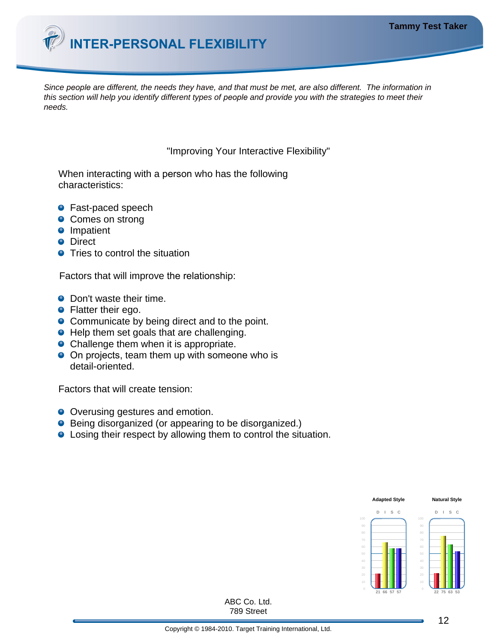

Since *people* are different, the needs they have, and that must be met, are also different. The information in this section will help you identify different types of *people* and provide you with the strategies to meet their needs.

"Improving Your Interactive Flexibility"

When interacting with a person who has the following characteristics:

- Fast-paced speech
- **Comes on strong**
- **O** Impatient
- **O** Direct
- **•** Tries to control the situation

Factors that will improve the relationship:

- Don't waste their time.
- **•** Flatter their ego.
- Communicate by being direct and to the point.
- Help them set goals that are challenging.
- Challenge them when it is appropriate.
- On projects, team them up with someone who is detail-oriented.

Factors that will create tension:

- Overusing gestures and emotion.
- **•** Being disorganized (or appearing to be disorganized.)
- **.** Losing their respect by allowing them to control the situation.

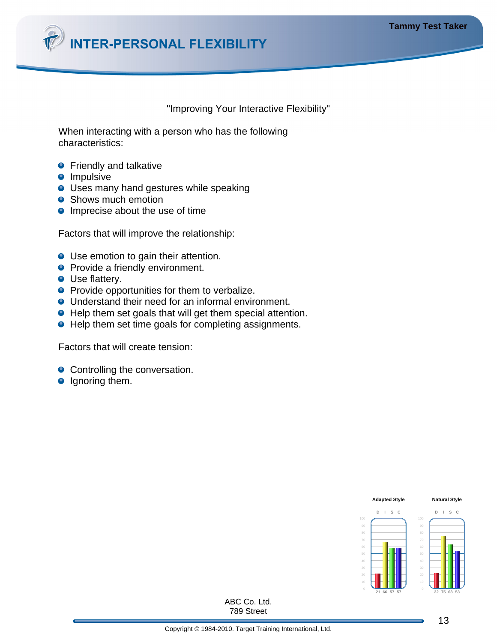

#### "Improving Your Interactive Flexibility"

When interacting with a person who has the following characteristics:

- **•** Friendly and talkative
- **O** Impulsive
- **O** Uses many hand gestures while speaking
- **Shows much emotion**
- **Imprecise about the use of time**

Factors that will improve the relationship:

- Use emotion to gain their attention.
- **Provide a friendly environment.**
- **O** Use flattery.
- **•** Provide opportunities for them to verbalize.
- Understand their need for an informal environment.
- Help them set goals that will get them special attention.
- Help them set time goals for completing assignments.

Factors that will create tension:

- Controlling the conversation.
- **O** Ignoring them.

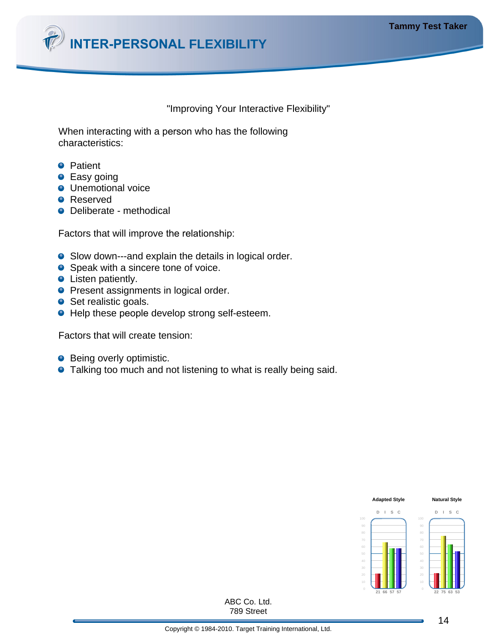

#### "Improving Your Interactive Flexibility"

When interacting with a person who has the following characteristics:

- **•** Patient
- **•** Easy going
- **O** Unemotional voice
- **O** Reserved
- Deliberate methodical

Factors that will improve the relationship:

- Slow down---and explain the details in logical order.
- Speak with a sincere tone of voice.
- Listen patiently.
- **Present assignments in logical order.**
- Set realistic goals.
- Help these people develop strong self-esteem.

Factors that will create tension:

- **Being overly optimistic.**
- **•** Talking too much and not listening to what is really being said.

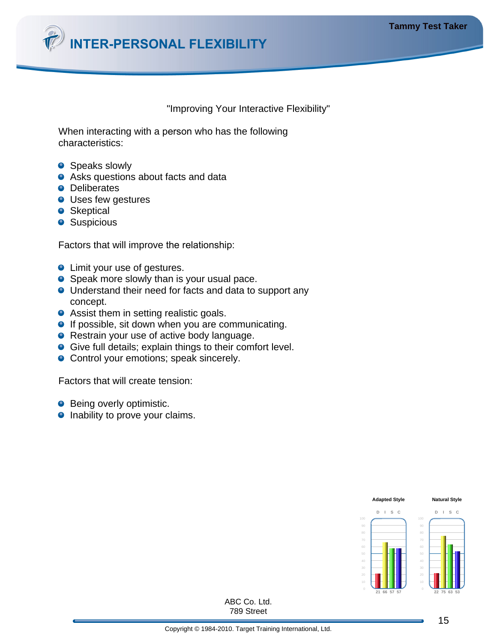

"Improving Your Interactive Flexibility"

When interacting with a person who has the following characteristics:

- **•** Speaks slowly
- **•** Asks questions about facts and data
- **O** Deliberates
- **O** Uses few gestures
- **•** Skeptical
- **Suspicious**

Factors that will improve the relationship:

- **•** Limit your use of gestures.
- Speak more slowly than is your usual pace.
- Understand their need for facts and data to support any concept.
- **•** Assist them in setting realistic goals.
- **If possible, sit down when you are communicating.**
- Restrain your use of active body language.
- Give full details; explain things to their comfort level.
- **Control your emotions; speak sincerely.**

Factors that will create tension:

- Being overly optimistic.
- **•** Inability to prove your claims.

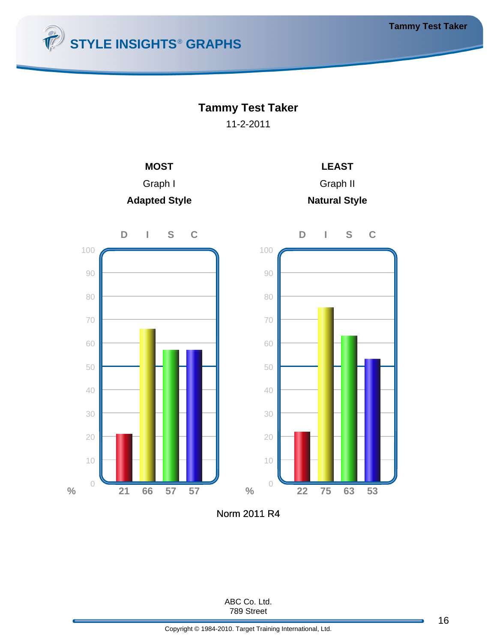

# **Tammy Test Taker**

11-2-2011







Norm 2011 R4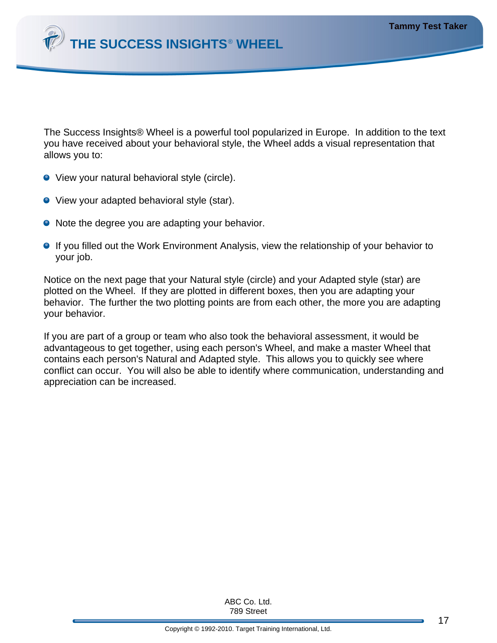

The Success Insights® Wheel is a powerful tool popularized in Europe. In addition to the text you have received about your behavioral style, the Wheel adds a visual representation that allows you to:

- View your natural behavioral style (circle).
- View your adapted behavioral style (star).
- Note the degree you are adapting your behavior.
- **If you filled out the Work Environment Analysis, view the relationship of your behavior to** your job.

Notice on the next page that your Natural style (circle) and your Adapted style (star) are plotted on the Wheel. If they are plotted in different boxes, then you are adapting your behavior. The further the two plotting points are from each other, the more you are adapting your behavior.

If you are part of a group or team who also took the behavioral assessment, it would be advantageous to get together, using each person's Wheel, and make a master Wheel that contains each person's Natural and Adapted style. This allows you to quickly see where conflict can occur. You will also be able to identify where communication, understanding and appreciation can be increased.